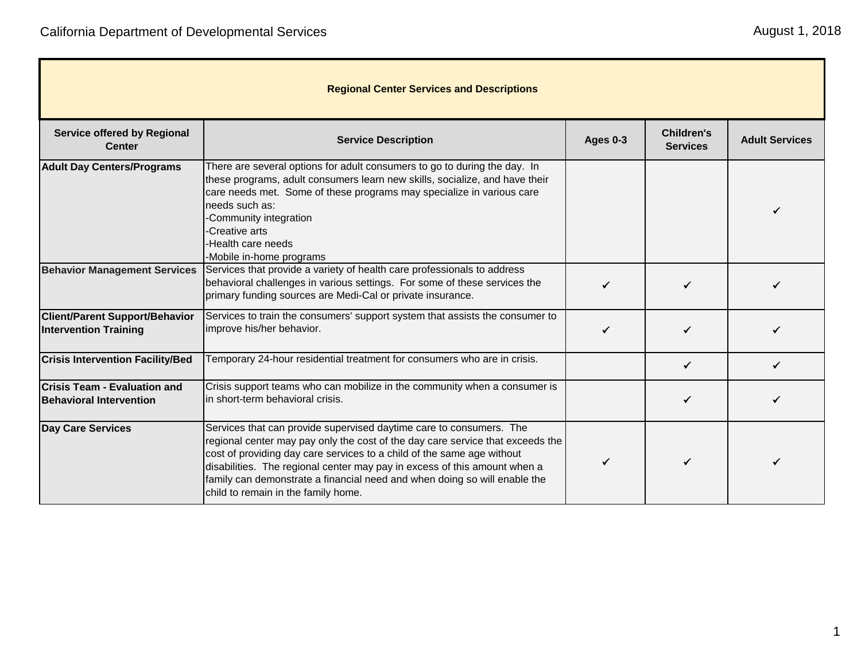| <b>Regional Center Services and Descriptions</b>                      |                                                                                                                                                                                                                                                                                                                                                                                                                                  |                 |                                      |                       |
|-----------------------------------------------------------------------|----------------------------------------------------------------------------------------------------------------------------------------------------------------------------------------------------------------------------------------------------------------------------------------------------------------------------------------------------------------------------------------------------------------------------------|-----------------|--------------------------------------|-----------------------|
| <b>Service offered by Regional</b><br><b>Center</b>                   | <b>Service Description</b>                                                                                                                                                                                                                                                                                                                                                                                                       | <b>Ages 0-3</b> | <b>Children's</b><br><b>Services</b> | <b>Adult Services</b> |
| <b>Adult Day Centers/Programs</b>                                     | There are several options for adult consumers to go to during the day. In<br>these programs, adult consumers learn new skills, socialize, and have their<br>care needs met. Some of these programs may specialize in various care<br>needs such as:<br>-Community integration<br>-Creative arts<br>-Health care needs<br>-Mobile in-home programs                                                                                |                 |                                      |                       |
| <b>Behavior Management Services</b>                                   | Services that provide a variety of health care professionals to address<br>behavioral challenges in various settings. For some of these services the<br>primary funding sources are Medi-Cal or private insurance.                                                                                                                                                                                                               |                 |                                      |                       |
| <b>Client/Parent Support/Behavior</b><br><b>Intervention Training</b> | Services to train the consumers' support system that assists the consumer to<br>improve his/her behavior.                                                                                                                                                                                                                                                                                                                        |                 |                                      |                       |
| <b>Crisis Intervention Facility/Bed</b>                               | Temporary 24-hour residential treatment for consumers who are in crisis.                                                                                                                                                                                                                                                                                                                                                         |                 | ✓                                    |                       |
| <b>Crisis Team - Evaluation and</b><br><b>Behavioral Intervention</b> | Crisis support teams who can mobilize in the community when a consumer is<br>in short-term behavioral crisis.                                                                                                                                                                                                                                                                                                                    |                 | ✓                                    |                       |
| <b>Day Care Services</b>                                              | Services that can provide supervised daytime care to consumers. The<br>regional center may pay only the cost of the day care service that exceeds the<br>cost of providing day care services to a child of the same age without<br>disabilities. The regional center may pay in excess of this amount when a<br>family can demonstrate a financial need and when doing so will enable the<br>child to remain in the family home. |                 |                                      |                       |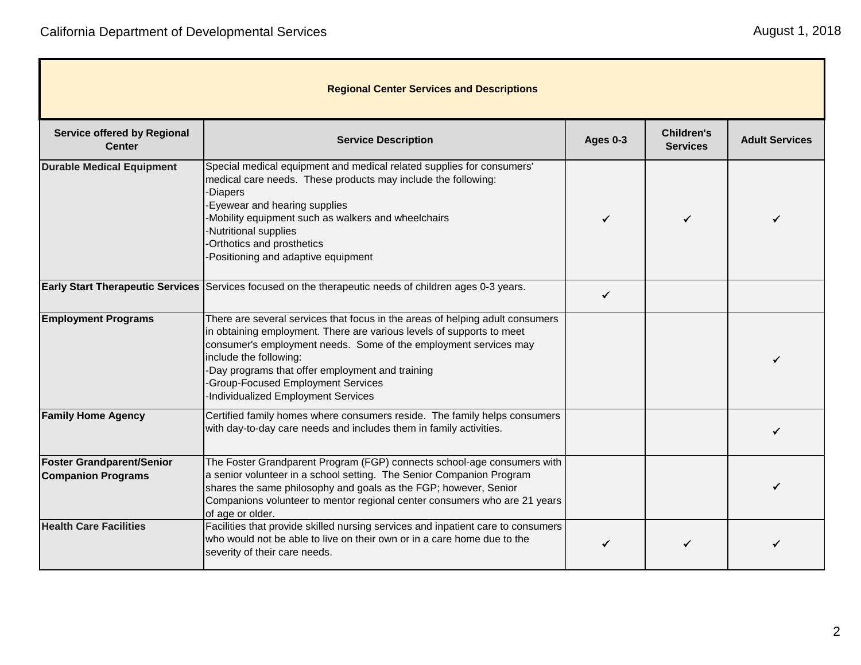| <b>Regional Center Services and Descriptions</b>              |                                                                                                                                                                                                                                                                                                                                                                                      |          |                                      |                       |
|---------------------------------------------------------------|--------------------------------------------------------------------------------------------------------------------------------------------------------------------------------------------------------------------------------------------------------------------------------------------------------------------------------------------------------------------------------------|----------|--------------------------------------|-----------------------|
| <b>Service offered by Regional</b><br><b>Center</b>           | <b>Service Description</b>                                                                                                                                                                                                                                                                                                                                                           | Ages 0-3 | <b>Children's</b><br><b>Services</b> | <b>Adult Services</b> |
| <b>Durable Medical Equipment</b>                              | Special medical equipment and medical related supplies for consumers'<br>medical care needs. These products may include the following:<br>-Diapers<br>-Eyewear and hearing supplies<br>-Mobility equipment such as walkers and wheelchairs<br>-Nutritional supplies<br>-Orthotics and prosthetics<br>-Positioning and adaptive equipment                                             |          |                                      |                       |
|                                                               | Early Start Therapeutic Services Services focused on the therapeutic needs of children ages 0-3 years.                                                                                                                                                                                                                                                                               | ✓        |                                      |                       |
| <b>Employment Programs</b>                                    | There are several services that focus in the areas of helping adult consumers<br>in obtaining employment. There are various levels of supports to meet<br>consumer's employment needs. Some of the employment services may<br>include the following:<br>-Day programs that offer employment and training<br>-Group-Focused Employment Services<br>Individualized Employment Services |          |                                      |                       |
| <b>Family Home Agency</b>                                     | Certified family homes where consumers reside. The family helps consumers<br>with day-to-day care needs and includes them in family activities.                                                                                                                                                                                                                                      |          |                                      |                       |
| <b>Foster Grandparent/Senior</b><br><b>Companion Programs</b> | The Foster Grandparent Program (FGP) connects school-age consumers with<br>a senior volunteer in a school setting. The Senior Companion Program<br>shares the same philosophy and goals as the FGP; however, Senior<br>Companions volunteer to mentor regional center consumers who are 21 years<br>of age or older.                                                                 |          |                                      |                       |
| <b>Health Care Facilities</b>                                 | Facilities that provide skilled nursing services and inpatient care to consumers<br>who would not be able to live on their own or in a care home due to the<br>severity of their care needs.                                                                                                                                                                                         |          |                                      |                       |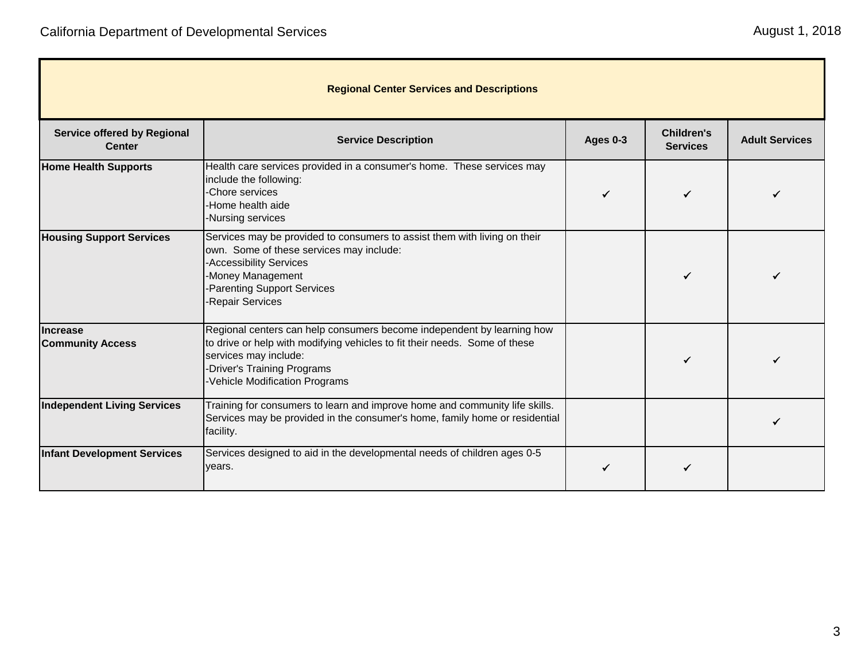п

| <b>Regional Center Services and Descriptions</b>    |                                                                                                                                                                                                                                                     |                 |                                      |                       |
|-----------------------------------------------------|-----------------------------------------------------------------------------------------------------------------------------------------------------------------------------------------------------------------------------------------------------|-----------------|--------------------------------------|-----------------------|
| <b>Service offered by Regional</b><br><b>Center</b> | <b>Service Description</b>                                                                                                                                                                                                                          | <b>Ages 0-3</b> | <b>Children's</b><br><b>Services</b> | <b>Adult Services</b> |
| <b>Home Health Supports</b>                         | Health care services provided in a consumer's home. These services may<br>include the following:<br>Chore services<br>-Home health aide<br>-Nursing services                                                                                        |                 |                                      |                       |
| <b>Housing Support Services</b>                     | Services may be provided to consumers to assist them with living on their<br>own. Some of these services may include:<br>-Accessibility Services<br>-Money Management<br>Parenting Support Services<br>Repair Services                              |                 |                                      |                       |
| <b>Increase</b><br><b>Community Access</b>          | Regional centers can help consumers become independent by learning how<br>to drive or help with modifying vehicles to fit their needs. Some of these<br>services may include:<br><b>Driver's Training Programs</b><br>Vehicle Modification Programs |                 |                                      |                       |
| <b>Independent Living Services</b>                  | Training for consumers to learn and improve home and community life skills.<br>Services may be provided in the consumer's home, family home or residential<br>facility.                                                                             |                 |                                      |                       |
| <b>Infant Development Services</b>                  | Services designed to aid in the developmental needs of children ages 0-5<br>years.                                                                                                                                                                  |                 |                                      |                       |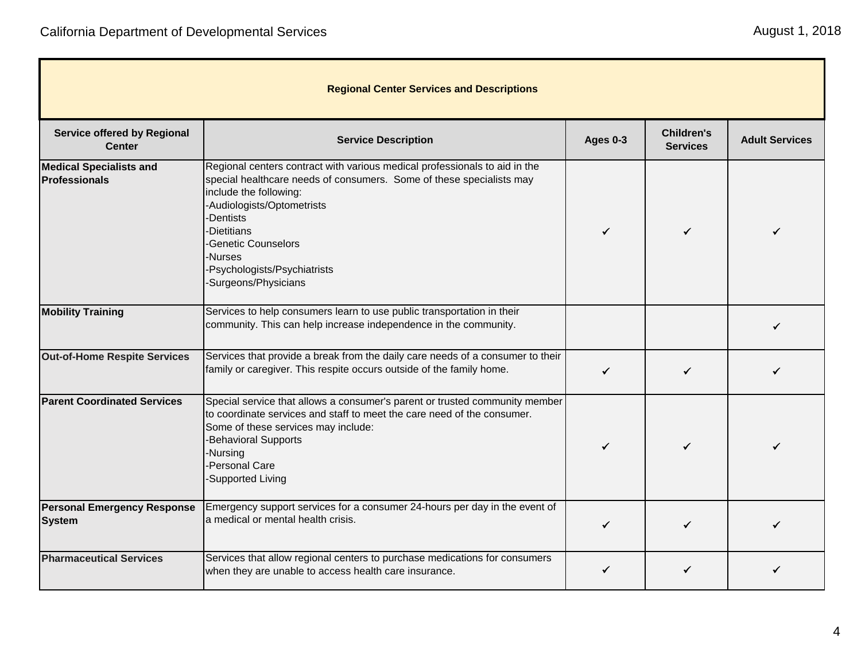T.

| <b>Regional Center Services and Descriptions</b>       |                                                                                                                                                                                                                                                                                                                                       |                 |                                      |                       |
|--------------------------------------------------------|---------------------------------------------------------------------------------------------------------------------------------------------------------------------------------------------------------------------------------------------------------------------------------------------------------------------------------------|-----------------|--------------------------------------|-----------------------|
| <b>Service offered by Regional</b><br><b>Center</b>    | <b>Service Description</b>                                                                                                                                                                                                                                                                                                            | <b>Ages 0-3</b> | <b>Children's</b><br><b>Services</b> | <b>Adult Services</b> |
| <b>Medical Specialists and</b><br><b>Professionals</b> | Regional centers contract with various medical professionals to aid in the<br>special healthcare needs of consumers. Some of these specialists may<br>include the following:<br>-Audiologists/Optometrists<br>-Dentists<br><b>Dietitians</b><br>-Genetic Counselors<br>Nurses-<br>-Psychologists/Psychiatrists<br>Surgeons/Physicians |                 |                                      |                       |
| <b>Mobility Training</b>                               | Services to help consumers learn to use public transportation in their<br>community. This can help increase independence in the community.                                                                                                                                                                                            |                 |                                      |                       |
| <b>Out-of-Home Respite Services</b>                    | Services that provide a break from the daily care needs of a consumer to their<br>family or caregiver. This respite occurs outside of the family home.                                                                                                                                                                                | ✓               |                                      |                       |
| <b>Parent Coordinated Services</b>                     | Special service that allows a consumer's parent or trusted community member<br>to coordinate services and staff to meet the care need of the consumer.<br>Some of these services may include:<br><b>Behavioral Supports</b><br>-Nursing<br>-Personal Care<br><b>Supported Living</b>                                                  |                 |                                      |                       |
| <b>Personal Emergency Response</b><br><b>System</b>    | Emergency support services for a consumer 24-hours per day in the event of<br>a medical or mental health crisis.                                                                                                                                                                                                                      |                 |                                      |                       |
| <b>Pharmaceutical Services</b>                         | Services that allow regional centers to purchase medications for consumers<br>when they are unable to access health care insurance.                                                                                                                                                                                                   |                 |                                      |                       |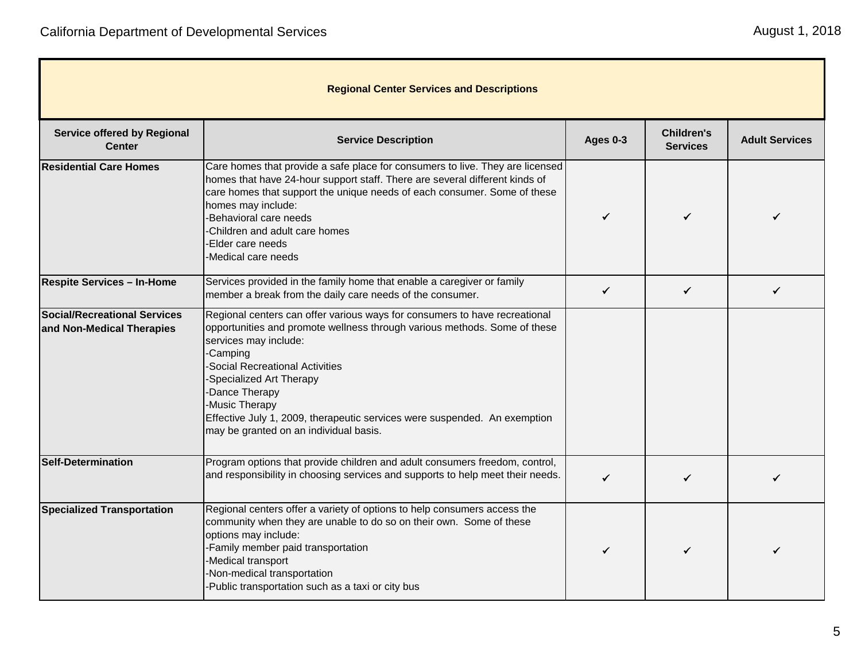T.

| August 1, 2018 |  |  |  |
|----------------|--|--|--|
|----------------|--|--|--|

| <b>Regional Center Services and Descriptions</b>                 |                                                                                                                                                                                                                                                                                                                                                                                                                             |                 |                                      |                       |
|------------------------------------------------------------------|-----------------------------------------------------------------------------------------------------------------------------------------------------------------------------------------------------------------------------------------------------------------------------------------------------------------------------------------------------------------------------------------------------------------------------|-----------------|--------------------------------------|-----------------------|
| <b>Service offered by Regional</b><br><b>Center</b>              | <b>Service Description</b>                                                                                                                                                                                                                                                                                                                                                                                                  | <b>Ages 0-3</b> | <b>Children's</b><br><b>Services</b> | <b>Adult Services</b> |
| <b>Residential Care Homes</b>                                    | Care homes that provide a safe place for consumers to live. They are licensed<br>homes that have 24-hour support staff. There are several different kinds of<br>care homes that support the unique needs of each consumer. Some of these<br>homes may include:<br>-Behavioral care needs<br>Children and adult care homes<br>Elder care needs<br>Medical care needs                                                         |                 | ✓                                    |                       |
| <b>Respite Services - In-Home</b>                                | Services provided in the family home that enable a caregiver or family<br>member a break from the daily care needs of the consumer.                                                                                                                                                                                                                                                                                         | $\checkmark$    | $\checkmark$                         | ✓                     |
| <b>Social/Recreational Services</b><br>and Non-Medical Therapies | Regional centers can offer various ways for consumers to have recreational<br>opportunities and promote wellness through various methods. Some of these<br>services may include:<br>-Camping<br><b>Social Recreational Activities</b><br>-Specialized Art Therapy<br>Dance Therapy<br>-Music Therapy<br>Effective July 1, 2009, therapeutic services were suspended. An exemption<br>may be granted on an individual basis. |                 |                                      |                       |
| <b>Self-Determination</b>                                        | Program options that provide children and adult consumers freedom, control,<br>and responsibility in choosing services and supports to help meet their needs.                                                                                                                                                                                                                                                               | ✓               | ✓                                    | ✓                     |
| <b>Specialized Transportation</b>                                | Regional centers offer a variety of options to help consumers access the<br>community when they are unable to do so on their own. Some of these<br>options may include:<br>-Family member paid transportation<br>-Medical transport<br>-Non-medical transportation<br>Public transportation such as a taxi or city bus                                                                                                      | ✓               | ✓                                    |                       |